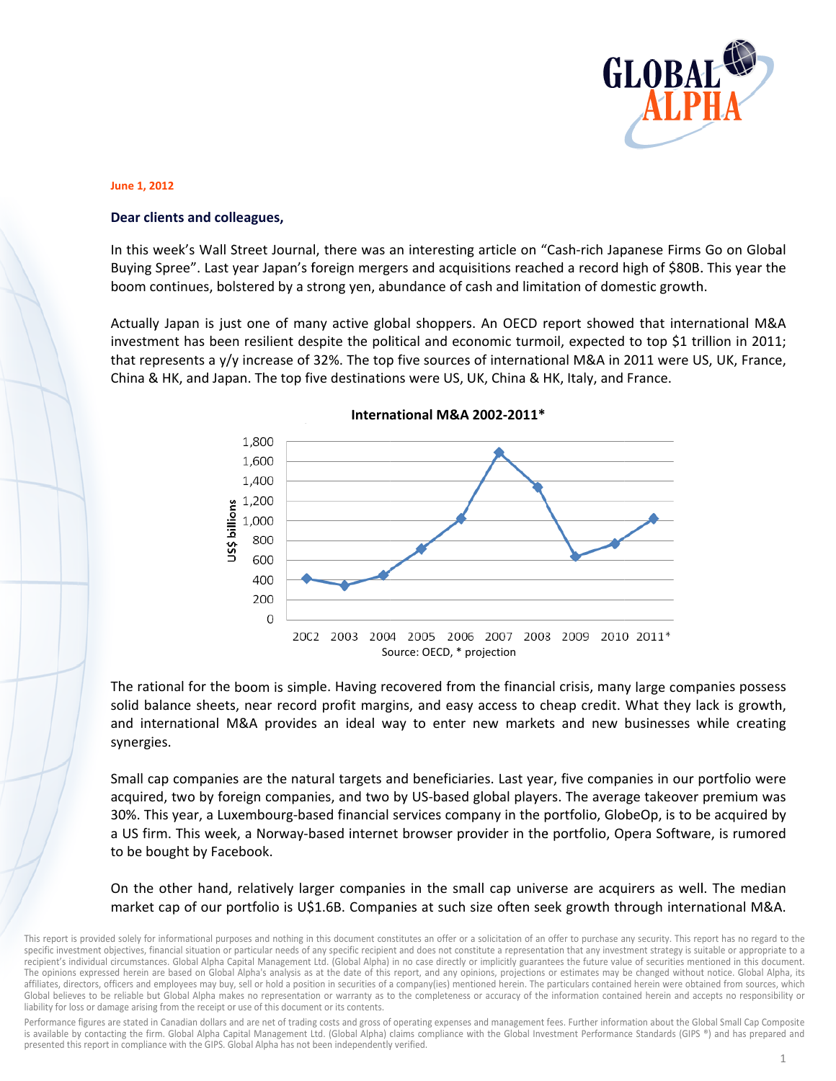

## **June 1, 2012**

## Dear clients and colleagues,

In this week's Wall Street Journal, there was an interesting article on "Cash-rich Japanese Firms Go on Global Buying Spree". Last year Japan's foreign mergers and acquisitions reached a record high of \$80B. This year the boom continues, bolstered by a strong yen, abundance of cash and limitation of domestic growth.

Actually Japan is just one of many active global shoppers. An OECD report showed that international M&A investment has been resilient despite the political and economic turmoil, expected to top \$1 trillion in 2011; that represents a y/y increase of 32%. The top five sources of international M&A in 2011 were US, UK, France, China & HK, and Japan. The top five destinations were US, UK, China & HK, Italy, and France.



## International M&A 2002-2011\*

The rational for the boom is simple. Having recovered from the financial crisis, many large companies possess solid balance sheets, near record profit margins, and easy access to cheap credit. What they lack is growth, and international M&A provides an ideal way to enter new markets and new businesses while creating synergies.

Small cap companies are the natural targets and beneficiaries. Last year, five companies in our portfolio were acquired, two by foreign companies, and two by US-based global players. The average takeover premium was 30%. This year, a Luxembourg-based financial services company in the portfolio, GlobeOp, is to be acquired by a US firm. This week, a Norway-based internet browser provider in the portfolio, Opera Software, is rumored to be bought by Facebook.

On the other hand, relatively larger companies in the small cap universe are acquirers as well. The median market cap of our portfolio is U\$1.6B. Companies at such size often seek growth through international M&A.

Performance figures are stated in Canadian dollars and are net of trading costs and gross of operating expenses and management fees. Further information about the Global Small Cap Composite is available by contacting the firm. Global Alpha Capital Management Ltd. (Global Alpha) claims compliance with the Global Investment Performance Standards (GIPS ®) and has prepared and presented this report in compliance with the GIPS. Global Alpha has not been independently verified.

This report is provided solely for informational purposes and nothing in this document constitutes an offer or a solicitation of an offer to purchase any security. This report has no regard to the specific investment objectives, financial situation or particular needs of any specific recipient and does not constitute a representation that any investment strategy is suitable or appropriate to a recipient's individual circumstances. Global Alpha Capital Management Ltd. (Global Alpha) in no case directly or implicitly guarantees the future value of securities mentioned in this document. The opinions expressed herein are based on Global Alpha's analysis as at the date of this report, and any opinions, projections or estimates may be changed without notice. Global Alpha, its affiliates, directors, officers and employees may buy, sell or hold a position in securities of a company(ies) mentioned herein. The particulars contained herein were obtained from sources, which Global believes to be reliable but Global Alpha makes no representation or warranty as to the completeness or accuracy of the information contained herein and accepts no responsibility or liability for loss or damage arising from the receipt or use of this document or its contents.